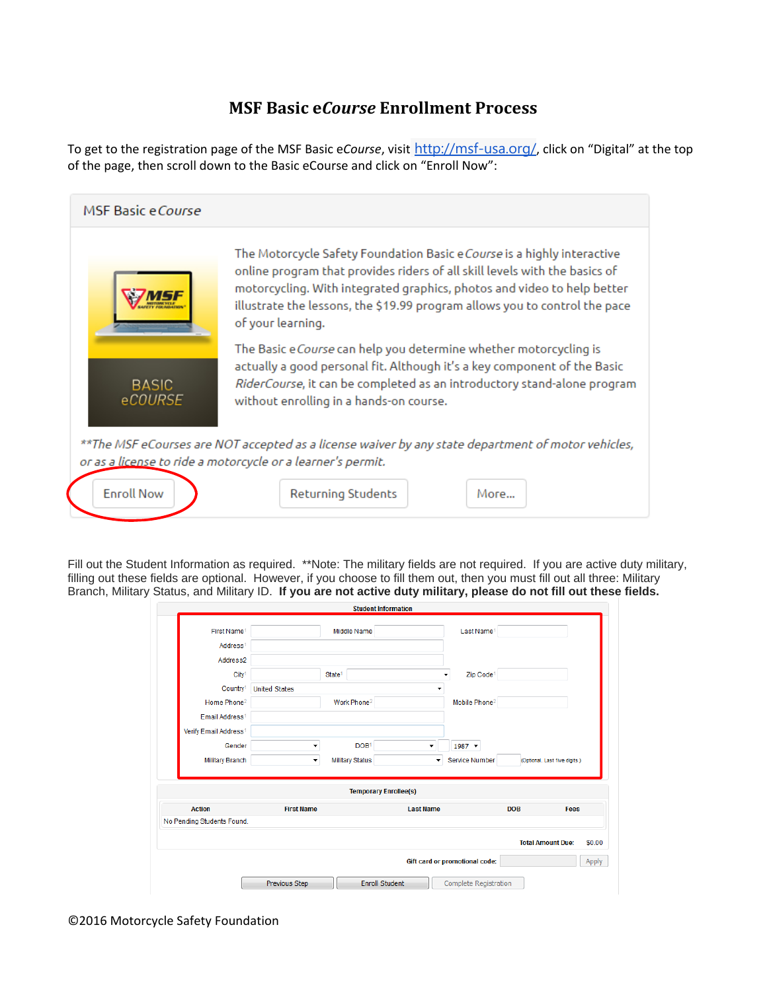## **MSF Basic e***Course* **Enrollment Process**

To get to the registration page of the MSF Basic e*Course*, visit http://msf-usa.org/, click on "Digital" at the top of the page, then scroll down to the Basic eCourse and click on "Enroll Now":



Fill out the Student Information as required. \*\*Note: The military fields are not required. If you are active duty military, filling out these fields are optional. However, if you choose to fill them out, then you must fill out all three: Military Branch, Military Status, and Military ID. **If you are not active duty military, please do not fill out these fields.**

|                                   |                      | <b>Student Information</b>   |                      |                                |                          |                               |
|-----------------------------------|----------------------|------------------------------|----------------------|--------------------------------|--------------------------|-------------------------------|
| First Name <sup>1</sup>           |                      | <b>Middle Name</b>           |                      | Last Name <sup>1</sup>         |                          |                               |
| Address <sup>1</sup>              |                      |                              |                      |                                |                          |                               |
| Address2                          |                      |                              |                      |                                |                          |                               |
| City <sup>1</sup>                 |                      | State <sup>1</sup>           |                      | Zip Code <sup>1</sup>          |                          |                               |
| Country <sup>1</sup>              | <b>United States</b> |                              | ٠                    |                                |                          |                               |
| Home Phone <sup>2</sup>           |                      | Work Phone <sup>2</sup>      |                      | Mobile Phone <sup>2</sup>      |                          |                               |
| Email Address <sup>1</sup>        |                      |                              |                      |                                |                          |                               |
| Verify Email Address <sup>1</sup> |                      |                              |                      |                                |                          |                               |
| Gender                            | ٠                    | DOB <sup>1</sup>             | ۰                    | $1987$ $\star$                 |                          |                               |
| <b>Military Branch</b>            | $\blacktriangledown$ | <b>Military Status</b>       | $\blacktriangledown$ | <b>Service Number</b>          |                          | (Optional. Last five digits.) |
|                                   |                      | <b>Temporary Enrollee(s)</b> |                      |                                |                          |                               |
| <b>Action</b>                     | <b>First Name</b>    |                              | <b>Last Name</b>     |                                | <b>DOB</b>               | <b>Fees</b>                   |
|                                   |                      |                              |                      |                                |                          |                               |
| No Pending Students Found.        |                      |                              |                      |                                |                          |                               |
|                                   |                      |                              |                      |                                | <b>Total Amount Due:</b> |                               |
|                                   |                      |                              |                      | Gift card or promotional code: |                          | \$0.00<br>Apply               |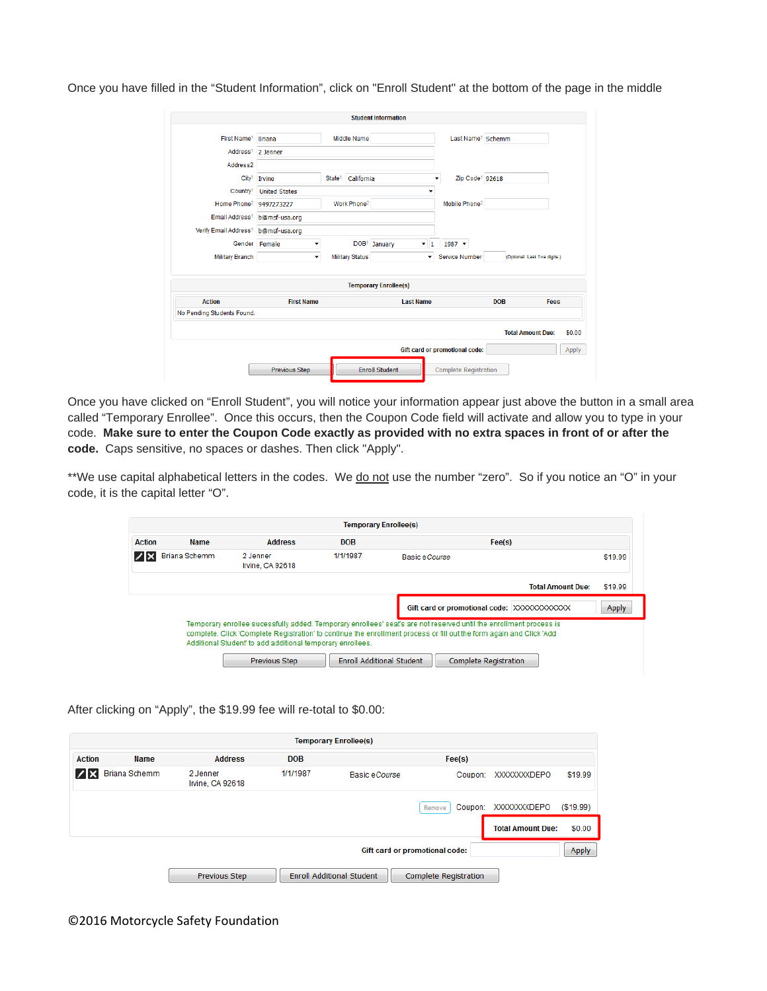Once you have filled in the "Student Information", click on "Enroll Student" at the bottom of the page in the middle

|                                   |                      |                                  | <b>Student Information</b>                 |                                |                          |                               |
|-----------------------------------|----------------------|----------------------------------|--------------------------------------------|--------------------------------|--------------------------|-------------------------------|
| First Name <sup>1</sup>           | <b>Briana</b>        | Middle Name                      |                                            | Last Name <sup>1</sup> Schemm  |                          |                               |
| Address <sup>1</sup>              | 2 Jenner             |                                  |                                            |                                |                          |                               |
| Address2                          |                      |                                  |                                            |                                |                          |                               |
| City <sup>1</sup>                 | Irvine               | California<br>State <sup>1</sup> |                                            | Zip Code <sup>1</sup> 92618    |                          |                               |
| Country <sup>1</sup>              | <b>United States</b> |                                  | ٠                                          |                                |                          |                               |
| Home Phone <sup>2</sup>           | 9497273227           | Work Phone <sup>2</sup>          |                                            | Mobile Phone <sup>2</sup>      |                          |                               |
| Email Address <sup>1</sup>        | b@msf-usa.org        |                                  |                                            |                                |                          |                               |
| Verify Email Address <sup>1</sup> | b@msf-usa.org        |                                  |                                            |                                |                          |                               |
|                                   | Gender Female<br>۰   |                                  | DOB <sup>1</sup> January<br>$\mathbf{v}$ 1 | $1987$ $\star$                 |                          |                               |
| <b>Military Branch</b>            | ۰                    | <b>Military Status</b>           | ۰                                          | <b>Service Number</b>          |                          | (Optional. Last five digits.) |
|                                   |                      |                                  | <b>Temporary Enrollee(s)</b>               |                                |                          |                               |
| <b>Action</b>                     | <b>First Name</b>    |                                  | <b>Last Name</b>                           |                                | <b>DOB</b>               | <b>Fees</b>                   |
| No Pending Students Found.        |                      |                                  |                                            |                                |                          |                               |
|                                   |                      |                                  |                                            |                                | <b>Total Amount Due:</b> | \$0.00                        |
|                                   |                      |                                  |                                            | Gift card or promotional code: |                          | Apply                         |
|                                   |                      |                                  |                                            |                                |                          |                               |

Once you have clicked on "Enroll Student", you will notice your information appear just above the button in a small area called "Temporary Enrollee". Once this occurs, then the Coupon Code field will activate and allow you to type in your code. **Make sure to enter the Coupon Code exactly as provided with no extra spaces in front of or after the code.** Caps sensitive, no spaces or dashes. Then click "Apply".

\*\*We use capital alphabetical letters in the codes. We do not use the number "zero". So if you notice an "O" in your code, it is the capital letter "O".

|               |                      |                                                                                    |            | <b>Temporary Enrollee(s)</b>                                                                                                                                                                                                                                                                                   |         |
|---------------|----------------------|------------------------------------------------------------------------------------|------------|----------------------------------------------------------------------------------------------------------------------------------------------------------------------------------------------------------------------------------------------------------------------------------------------------------------|---------|
| <b>Action</b> | <b>Name</b>          | <b>Address</b>                                                                     | <b>DOB</b> | Fee(s)                                                                                                                                                                                                                                                                                                         |         |
| l∕lx          | <b>Briana Schemm</b> | 2 Jenner<br>Irvine, CA 92618                                                       | 1/1/1987   | Basic eCourse                                                                                                                                                                                                                                                                                                  | \$19.99 |
|               |                      |                                                                                    |            | <b>Total Amount Due:</b>                                                                                                                                                                                                                                                                                       | \$19.99 |
|               |                      |                                                                                    |            | Gift card or promotional code: XXXXXXXXXXXX                                                                                                                                                                                                                                                                    | Apply   |
|               |                      | Additional Student' to add additional temporary enrollees.<br><b>Previous Step</b> |            | Temporary enrollee sucessfully added. Temporary enrollees' seat's are not reserved until the enrollment process is<br>complete. Click 'Complete Registration' to continue the enrollment process or fill out the form again and Click 'Add<br><b>Enroll Additional Student</b><br><b>Complete Registration</b> |         |

After clicking on "Apply", the \$19.99 fee will re-total to \$0.00:

|               |                      |                                     |            | <b>Temporary Enrollee(s)</b>     |                              |                          |            |
|---------------|----------------------|-------------------------------------|------------|----------------------------------|------------------------------|--------------------------|------------|
| <b>Action</b> | <b>Name</b>          | <b>Address</b>                      | <b>DOB</b> |                                  | Fee(s)                       |                          |            |
| / x           | <b>Briana Schemm</b> | 2 Jenner<br><b>Irvine, CA 92618</b> | 1/1/1987   | Basic eCourse                    | Coupon:                      | <b>XXXXXXXXDEPO</b>      | \$19.99    |
|               |                      |                                     |            |                                  | Coupon:<br>Remove            | <b>XXXXXXXXDEPO</b>      | ( \$19.99) |
|               |                      |                                     |            |                                  |                              | <b>Total Amount Due:</b> | \$0.00     |
|               |                      |                                     |            | Gift card or promotional code:   |                              |                          | Apply      |
|               |                      | <b>Previous Step</b>                |            | <b>Enroll Additional Student</b> | <b>Complete Registration</b> |                          |            |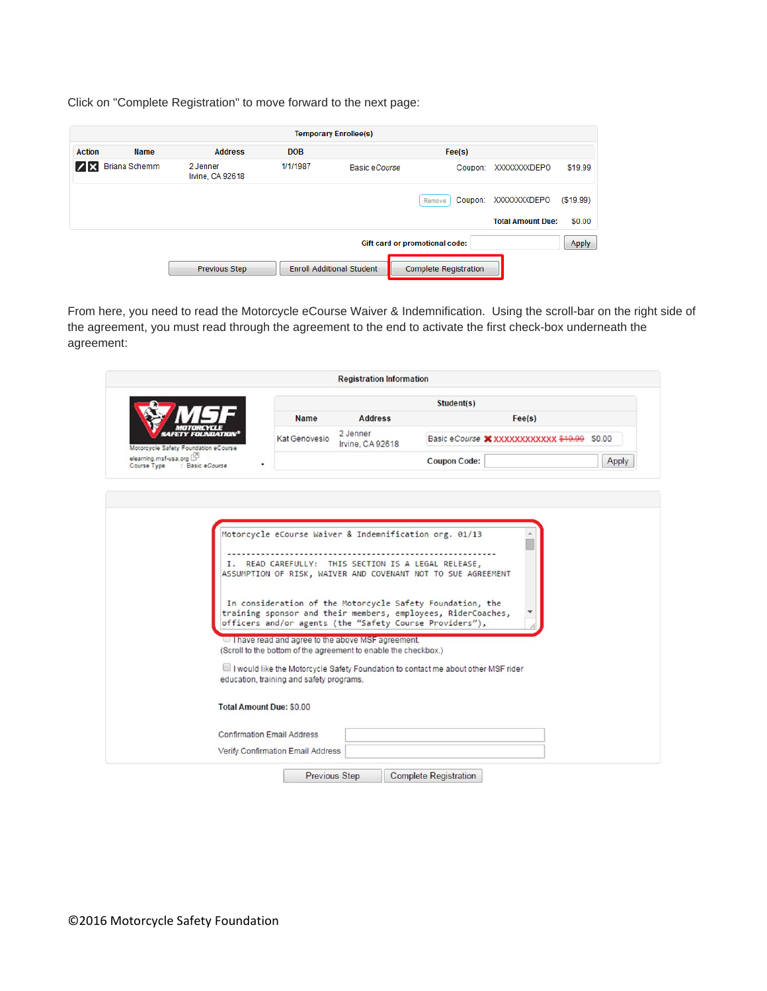Click on "Complete Registration" to move forward to the next page:

|               |                      |                              |            | <b>Temporary Enrollee(s)</b>     |                                |                          |          |
|---------------|----------------------|------------------------------|------------|----------------------------------|--------------------------------|--------------------------|----------|
| <b>Action</b> | <b>Name</b>          | <b>Address</b>               | <b>DOB</b> |                                  | Fee(s)                         |                          |          |
|               | <b>Briana Schemm</b> | 2 Jenner<br>Irvine, CA 92618 | 1/1/1987   | Basic eCourse                    | Coupon:                        | <b>XXXXXXXXDEPO</b>      | \$19.99  |
|               |                      |                              |            |                                  | Coupon:<br>Remove              | <b>XXXXXXXDEPO</b>       | (S19.99) |
|               |                      |                              |            |                                  |                                | <b>Total Amount Due:</b> | \$0.00   |
|               |                      |                              |            |                                  | Gift card or promotional code: |                          | Apply    |
|               |                      | <b>Previous Step</b>         |            | <b>Enroll Additional Student</b> | <b>Complete Registration</b>   |                          |          |

From here, you need to read the Motorcycle eCourse Waiver & Indemnification. Using the scroll-bar on the right side of the agreement, you must read through the agreement to the end to activate the first check-box underneath the agreement:

| <b>Name</b><br><b>Address</b><br>Fee(s)<br>2 Jenner<br>Kat Genovesio<br>Basic eCourse X XXXXXXXXXXXX \$19.99 \$0.00<br>Irvine, CA 92618<br>Motorcycle Safety Foundation eCourse<br><b>Coupon Code:</b><br>: Basic eCourse<br>Motorcycle eCourse Waiver & Indemnification org. 01/13<br>I. READ CAREFULLY: THIS SECTION IS A LEGAL RELEASE,<br>ASSUMPTION OF RISK, WAIVER AND COVENANT NOT TO SUE AGREEMENT<br>In consideration of the Motorcycle Safety Foundation, the<br>training sponsor and their members, employees, RiderCoaches,<br>officers and/or agents (the "Safety Course Providers"),<br>I have read and agree to the above MSF agreement.<br>(Scroll to the bottom of the agreement to enable the checkbox.)<br>I would like the Motorcycle Safety Foundation to contact me about other MSF rider<br>education, training and safety programs.<br><b>Total Amount Due: \$0.00</b><br><b>Confirmation Email Address</b> |                                      |  | Student(s) |       |
|-------------------------------------------------------------------------------------------------------------------------------------------------------------------------------------------------------------------------------------------------------------------------------------------------------------------------------------------------------------------------------------------------------------------------------------------------------------------------------------------------------------------------------------------------------------------------------------------------------------------------------------------------------------------------------------------------------------------------------------------------------------------------------------------------------------------------------------------------------------------------------------------------------------------------------------|--------------------------------------|--|------------|-------|
|                                                                                                                                                                                                                                                                                                                                                                                                                                                                                                                                                                                                                                                                                                                                                                                                                                                                                                                                     |                                      |  |            |       |
|                                                                                                                                                                                                                                                                                                                                                                                                                                                                                                                                                                                                                                                                                                                                                                                                                                                                                                                                     |                                      |  |            |       |
|                                                                                                                                                                                                                                                                                                                                                                                                                                                                                                                                                                                                                                                                                                                                                                                                                                                                                                                                     | elearning.msf-usa.org<br>Course Type |  |            | Apply |
|                                                                                                                                                                                                                                                                                                                                                                                                                                                                                                                                                                                                                                                                                                                                                                                                                                                                                                                                     |                                      |  |            |       |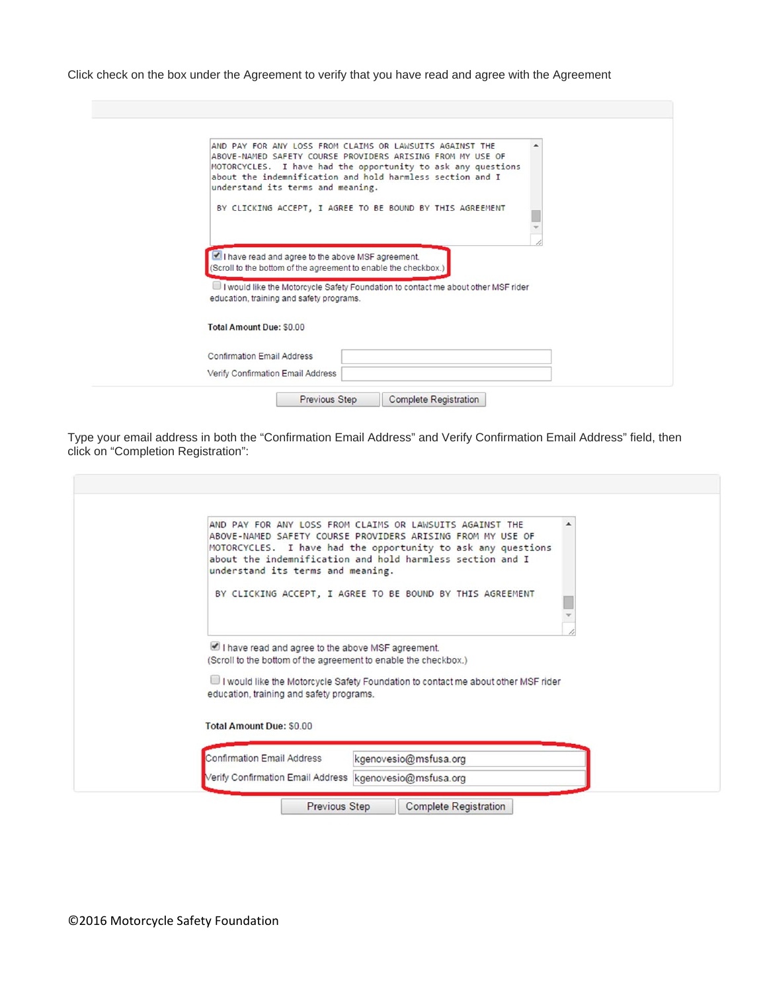Click check on the box under the Agreement to verify that you have read and agree with the Agreement

| AND PAY FOR ANY LOSS FROM CLAIMS OR LAWSUITS AGAINST THE<br>ABOVE-NAMED SAFETY COURSE PROVIDERS ARISING FROM MY USE OF<br>MOTORCYCLES. I have had the opportunity to ask any questions<br>about the indemnification and hold harmless section and I<br>understand its terms and meaning. |                                                           |  |
|------------------------------------------------------------------------------------------------------------------------------------------------------------------------------------------------------------------------------------------------------------------------------------------|-----------------------------------------------------------|--|
|                                                                                                                                                                                                                                                                                          | BY CLICKING ACCEPT, I AGREE TO BE BOUND BY THIS AGREEMENT |  |
|                                                                                                                                                                                                                                                                                          |                                                           |  |
| I have read and agree to the above MSF agreement.<br>(Scroll to the bottom of the agreement to enable the checkbox.)<br>I would like the Motorcycle Safety Foundation to contact me about other MSF rider<br>education, training and safety programs.                                    |                                                           |  |
| <b>Total Amount Due: \$0.00</b>                                                                                                                                                                                                                                                          |                                                           |  |
| <b>Confirmation Email Address</b>                                                                                                                                                                                                                                                        |                                                           |  |

Type your email address in both the "Confirmation Email Address" and Verify Confirmation Email Address" field, then click on "Completion Registration":

| understand its terms and meaning.                                                                                                                                | AND PAY FOR ANY LOSS FROM CLAIMS OR LAWSUITS AGAINST THE<br>ABOVE-NAMED SAFETY COURSE PROVIDERS ARISING FROM MY USE OF<br>MOTORCYCLES. I have had the opportunity to ask any questions<br>about the indemnification and hold harmless section and I |  |
|------------------------------------------------------------------------------------------------------------------------------------------------------------------|-----------------------------------------------------------------------------------------------------------------------------------------------------------------------------------------------------------------------------------------------------|--|
|                                                                                                                                                                  | BY CLICKING ACCEPT, I AGREE TO BE BOUND BY THIS AGREEMENT                                                                                                                                                                                           |  |
| I have read and agree to the above MSF agreement.<br>(Scroll to the bottom of the agreement to enable the checkbox.)<br>education, training and safety programs. | I would like the Motorcycle Safety Foundation to contact me about other MSF rider                                                                                                                                                                   |  |
| <b>Total Amount Due: \$0.00</b>                                                                                                                                  |                                                                                                                                                                                                                                                     |  |
|                                                                                                                                                                  |                                                                                                                                                                                                                                                     |  |
| <b>Confirmation Email Address</b>                                                                                                                                | kgenovesio@msfusa.org                                                                                                                                                                                                                               |  |